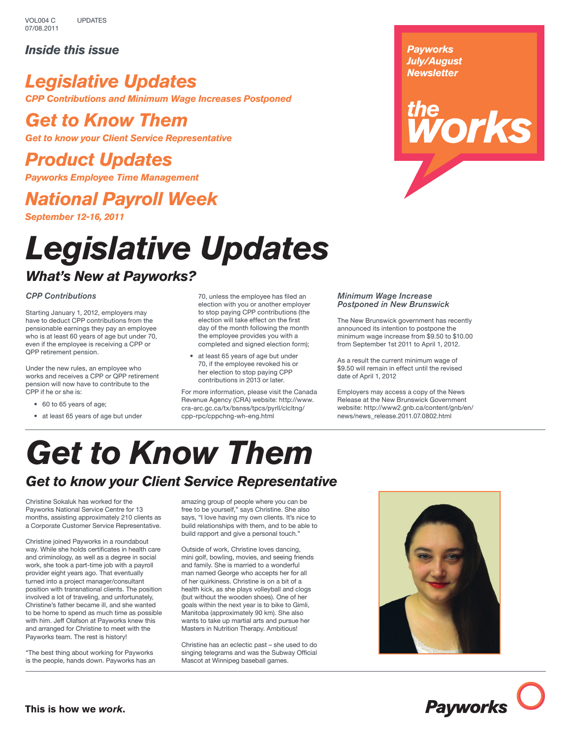### *Inside this issue*

## *Legislative Updates CPP Contributions and Minimum Wage Increases Postponed*

## *Get to Know Them*

*Get to know your Client Service Representative*

## *Product Updates*

*Payworks Employee Time Management*

## *National Payroll Week*

*September 12-16, 2011*

# *Legislative Updates*

## *What's New at Payworks?*

### *CPP Contributions*

Starting January 1, 2012, employers may have to deduct CPP contributions from the pensionable earnings they pay an employee who is at least 60 years of age but under 70, even if the employee is receiving a CPP or QPP retirement pension.

Under the new rules, an employee who works and receives a CPP or QPP retirement pension will now have to contribute to the CPP if he or she is:

- 60 to 65 years of age;
- at least 65 years of age but under

70, unless the employee has filed an election with you or another employer to stop paying CPP contributions (the election will take effect on the first day of the month following the month the employee provides you with a completed and signed election form);

• at least 65 years of age but under 70, if the employee revoked his or her election to stop paying CPP contributions in 2013 or later.

For more information, please visit the Canada Revenue Agency (CRA) website: http://www. cra-arc.gc.ca/tx/bsnss/tpcs/pyrll/clcltng/ cpp-rpc/cppchng-wh-eng.html

#### *Minimum Wage Increase Postponed in New Brunswick*

The New Brunswick government has recently announced its intention to postpone the minimum wage increase from \$9.50 to \$10.00 from September 1st 2011 to April 1, 2012.

*Payworks July/August Newsletter*

*torks* 

As a result the current minimum wage of \$9.50 will remain in effect until the revised date of April 1, 2012

Employers may access a copy of the News Release at the New Brunswick Government website: http://www2.gnb.ca/content/gnb/en/ news/news\_release.2011.07.0802.html

# *Get to Know Them*

## *Get to know your Client Service Representative*

Christine Sokaluk has worked for the Payworks National Service Centre for 13 months, assisting approximately 210 clients as a Corporate Customer Service Representative.

Christine joined Payworks in a roundabout way. While she holds certificates in health care and criminology, as well as a degree in social work, she took a part-time job with a payroll provider eight years ago. That eventually turned into a project manager/consultant position with transnational clients. The position involved a lot of traveling, and unfortunately, Christine's father became ill, and she wanted to be home to spend as much time as possible with him. Jeff Olafson at Payworks knew this and arranged for Christine to meet with the Payworks team. The rest is history!

"The best thing about working for Payworks is the people, hands down. Payworks has an

amazing group of people where you can be free to be yourself," says Christine. She also says, "I love having my own clients. It's nice to build relationships with them, and to be able to build rapport and give a personal touch."

Outside of work, Christine loves dancing, mini golf, bowling, movies, and seeing friends and family. She is married to a wonderful man named George who accepts her for all of her quirkiness. Christine is on a bit of a health kick, as she plays volleyball and clogs (but without the wooden shoes). One of her goals within the next year is to bike to Gimli, Manitoba (approximately 90 km). She also wants to take up martial arts and pursue her Masters in Nutrition Therapy. Ambitious!

Christine has an eclectic past – she used to do singing telegrams and was the Subway Official Mascot at Winnipeg baseball games.